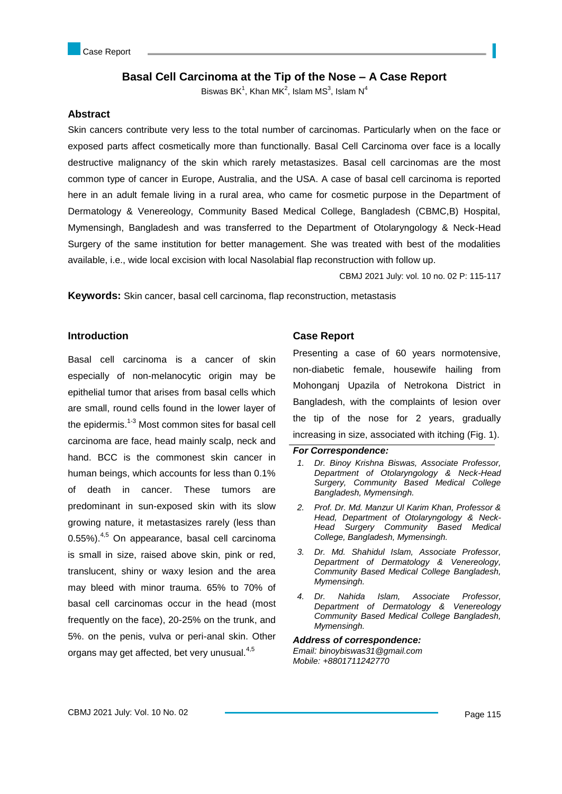# **Basal Cell Carcinoma at the Tip of the Nose – A Case Report**

Biswas BK $^1$ , Khan MK $^2$ , Islam MS $^3$ , Islam N $^4$ 

### **Abstract**

Skin cancers contribute very less to the total number of carcinomas. Particularly when on the face or exposed parts affect cosmetically more than functionally. Basal Cell Carcinoma over face is a locally destructive malignancy of the skin which rarely metastasizes. Basal cell carcinomas are the most common type of cancer in Europe, Australia, and the USA. A case of basal cell carcinoma is reported here in an adult female living in a rural area, who came for cosmetic purpose in the Department of Dermatology & Venereology, Community Based Medical College, Bangladesh (CBMC,B) Hospital, Mymensingh, Bangladesh and was transferred to the Department of Otolaryngology & Neck-Head Surgery of the same institution for better management. She was treated with best of the modalities available, i.e., wide local excision with local Nasolabial flap reconstruction with follow up.

CBMJ 2021 July: vol. 10 no. 02 P: 115-117

**Keywords:** Skin cancer, basal cell carcinoma, flap reconstruction, metastasis

### **Introduction**

Basal cell carcinoma is a cancer of skin especially of non-melanocytic origin may be epithelial tumor that arises from basal cells which are small, round cells found in the lower layer of the epidermis. $1-3$  Most common sites for basal cell carcinoma are face, head mainly scalp, neck and hand. BCC is the commonest skin cancer in human beings, which accounts for less than 0.1% of death in cancer. These tumors are predominant in sun-exposed skin with its slow growing nature, it metastasizes rarely (less than 0.55%).<sup>4,5</sup> On appearance, basal cell carcinoma is small in size, raised above skin, pink or red, translucent, shiny or waxy lesion and the area may bleed with minor trauma. 65% to 70% of basal cell carcinomas occur in the head (most frequently on the face), 20-25% on the trunk, and 5%. on the penis, vulva or peri-anal skin. Other organs may get affected, bet very unusual.<sup>4,5</sup>

### **Case Report**

Presenting a case of 60 years normotensive, non-diabetic female, housewife hailing from Mohonganj Upazila of Netrokona District in Bangladesh, with the complaints of lesion over the tip of the nose for 2 years, gradually increasing in size, associated with itching (Fig. 1).

#### *For Correspondence:*

- *1. Dr. Binoy Krishna Biswas, Associate Professor, Department of Otolaryngology & Neck-Head Surgery, Community Based Medical College Bangladesh, Mymensingh.*
- *2. Prof. Dr. Md. Manzur Ul Karim Khan, Professor & Head, Department of Otolaryngology & Neck-Head Surgery Community Based Medical College, Bangladesh, Mymensingh.*
- *3. Dr. Md. Shahidul Islam, Associate Professor, Department of Dermatology & Venereology, Community Based Medical College Bangladesh, Mymensingh.*
- *4. Dr. Nahida Islam, Associate Professor, Department of Dermatology & Venereology Community Based Medical College Bangladesh, Mymensingh.*

#### *Address of correspondence:*

*Email: binoybiswas31@gmail.com Mobile: +8801711242770*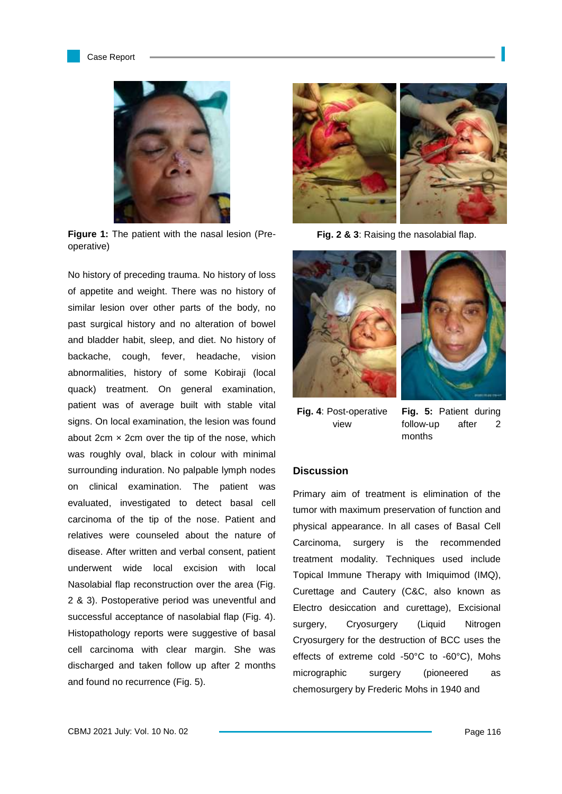



**Figure 1:** The patient with the nasal lesion (Preoperative)

No history of preceding trauma. No history of loss of appetite and weight. There was no history of similar lesion over other parts of the body, no past surgical history and no alteration of bowel and bladder habit, sleep, and diet. No history of backache, cough, fever, headache, vision abnormalities, history of some Kobiraji (local quack) treatment. On general examination, patient was of average built with stable vital signs. On local examination, the lesion was found about 2cm  $\times$  2cm over the tip of the nose, which was roughly oval, black in colour with minimal surrounding induration. No palpable lymph nodes on clinical examination. The patient was evaluated, investigated to detect basal cell carcinoma of the tip of the nose. Patient and relatives were counseled about the nature of disease. After written and verbal consent, patient underwent wide local excision with local Nasolabial flap reconstruction over the area (Fig. 2 & 3). Postoperative period was uneventful and successful acceptance of nasolabial flap (Fig. 4). Histopathology reports were suggestive of basal cell carcinoma with clear margin. She was discharged and taken follow up after 2 months and found no recurrence (Fig. 5).



**Fig. 2 & 3**: Raising the nasolabial flap.





**Fig. 4**: Post-operative view

**Fig. 5:** Patient during follow-up after 2 months

## **Discussion**

Primary aim of treatment is elimination of the tumor with maximum preservation of function and physical appearance. In all cases of Basal Cell Carcinoma, surgery is the recommended treatment modality. Techniques used include Topical Immune Therapy with Imiquimod (IMQ), Curettage and Cautery (C&C, also known as Electro desiccation and curettage), Excisional surgery, Cryosurgery (Liquid Nitrogen Cryosurgery for the destruction of BCC uses the effects of extreme cold -50°C to -60°C), Mohs micrographic surgery (pioneered as chemosurgery by Frederic Mohs in 1940 and